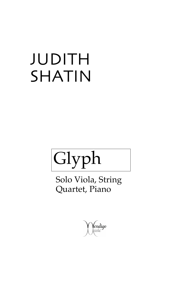## JUDITH SHATIN

Solo Viola, String Quartet, Piano

(endigo<br><sub>l</sub>usic

## Glyph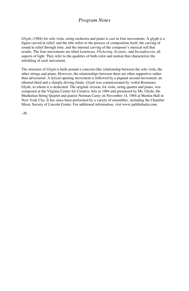## *Program Notes*

*Glyph*, (1984) for solo viola, string orchestra and piano is cast in four movements. A glyph is a figure carved in relief, and the title refers to the process of composition itself, the carving of sound in relief through time, and the internal carving of the composer's musical self that results. The four movements are titled *Luminous, Flickering, Ecstatic*, and *Incandescent*, all aspects of light. They refer to the qualities of both color and motion that characterize the unfolding of each movement.

The structure of *Glyph* is built around a concerto-like relationship between the solo viola, the other strings and piano. However, the relationships between them are often supportive rather than adversarial. A lyrical opening movement is followed by a piquant second movement, an ethereal third and a sharply driving finale. *Glyph* was commissioned by violist Rosemary Glyde, to whom it is dedicated. The original version, for viola, string quartet and piano, was composed at the Virginia Center for Creative Arts in 1984 and premiered by Ms. Glyde, the Manhattan String Quartet and pianist Norman Carey on November 14, 1984 at Merkin Hall in New York City. It has since been performed by a variety of ensembles, including the Chamber Music Society of Lincoln Center. For additional information, visit www.judithshatin.com.

 $-JS$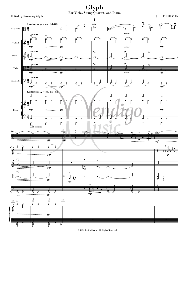Glyph For Viola, String Quartet, and Piano

**JUDITH SHATIN** 

**Edited by Rosemary Glyde** 

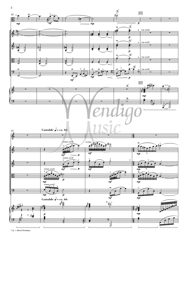

 $*\Lambda$  = short fermata

 $\overline{2}$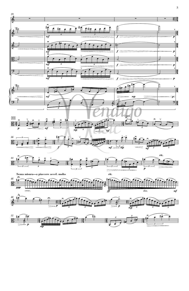

 $\sqrt{3}$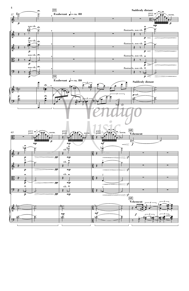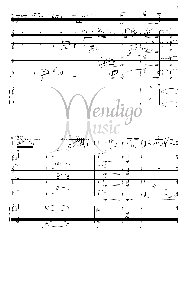

 $\overline{\mathbf{5}}$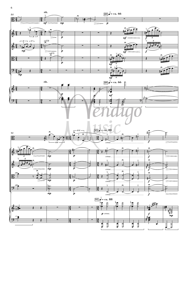

 $\boldsymbol{6}$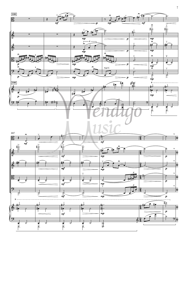



 $\sqrt{ }$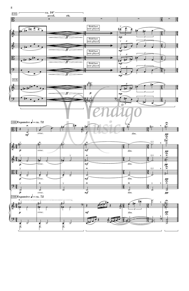

 ${\bf 8}$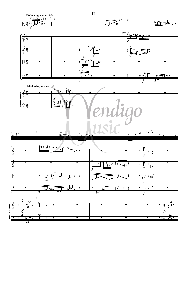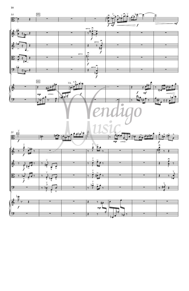![](_page_11_Figure_0.jpeg)

 ${\bf 10}$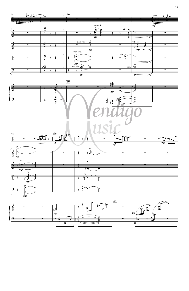![](_page_12_Figure_0.jpeg)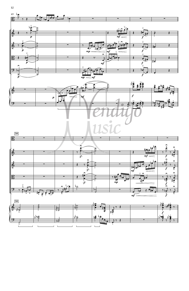![](_page_13_Figure_0.jpeg)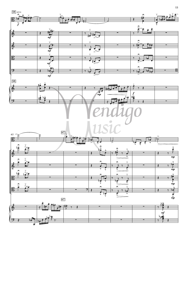![](_page_14_Figure_0.jpeg)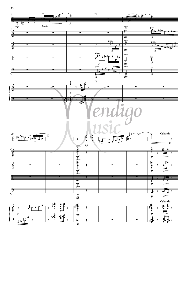![](_page_15_Figure_0.jpeg)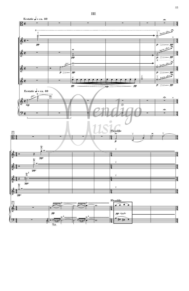![](_page_16_Figure_0.jpeg)

 $\prod$ 

 $15\,$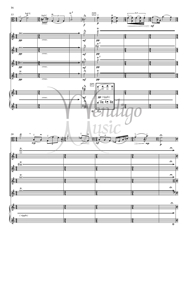![](_page_17_Figure_0.jpeg)

 ${\bf 16}$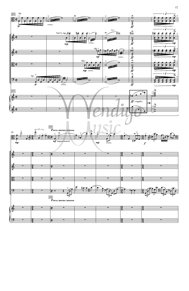![](_page_18_Figure_0.jpeg)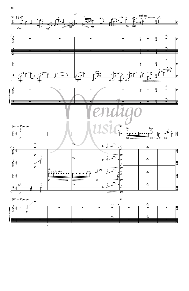![](_page_19_Figure_0.jpeg)

 $18\,$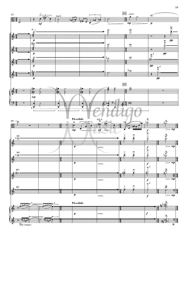![](_page_20_Figure_0.jpeg)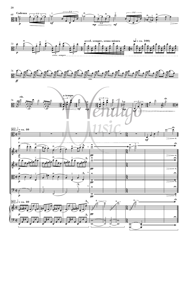![](_page_21_Figure_0.jpeg)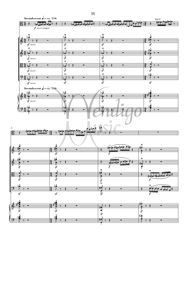![](_page_22_Figure_0.jpeg)

 $\overline{\mathbf{IV}}$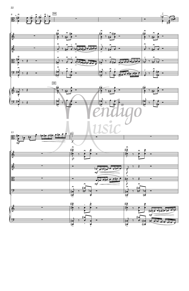![](_page_23_Figure_0.jpeg)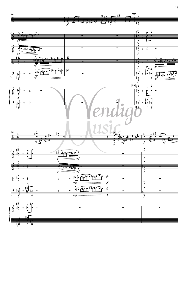![](_page_24_Figure_0.jpeg)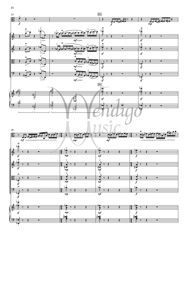![](_page_25_Figure_0.jpeg)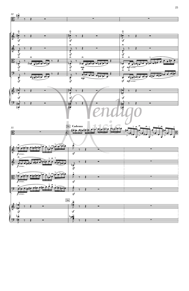![](_page_26_Figure_0.jpeg)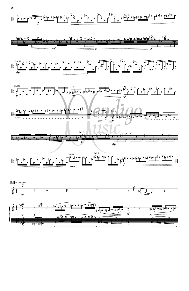![](_page_27_Figure_0.jpeg)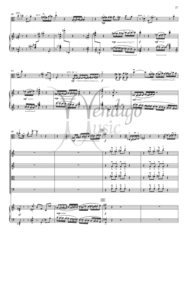![](_page_28_Figure_0.jpeg)

![](_page_28_Figure_1.jpeg)

![](_page_28_Figure_2.jpeg)

![](_page_28_Figure_3.jpeg)

 $50$ <u>o odotožo</u>  $\frac{1}{\sqrt{2}}$  $\mathbf{m} \mathbf{p}$  cresc. sf  $\frac{1}{\sqrt{2}}$  $rac{\textcolor{red}{\bullet}}{\textcolor{blue}{\bullet}}$  $\overline{\phantom{a}}$  $b\ddot{\zeta}$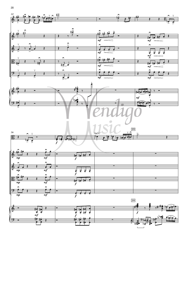![](_page_29_Figure_0.jpeg)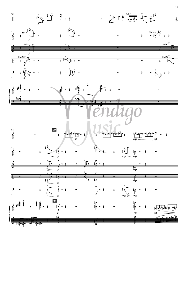![](_page_30_Figure_0.jpeg)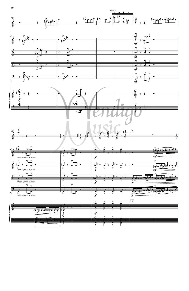![](_page_31_Figure_0.jpeg)